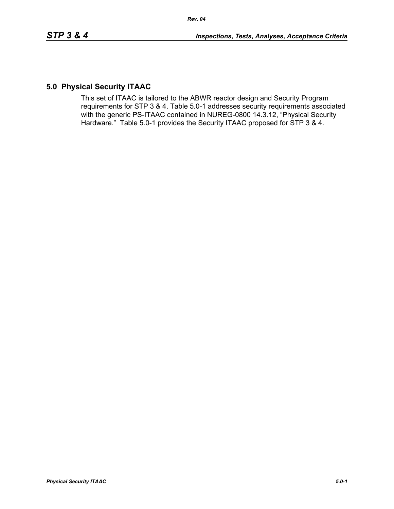# **5.0 Physical Security ITAAC**

This set of ITAAC is tailored to the ABWR reactor design and Security Program requirements for STP 3 & 4. Table 5.0-1 addresses security requirements associated with the generic PS-ITAAC contained in NUREG-0800 14.3.12, "Physical Security Hardware." Table 5.0-1 provides the Security ITAAC proposed for STP 3 & 4.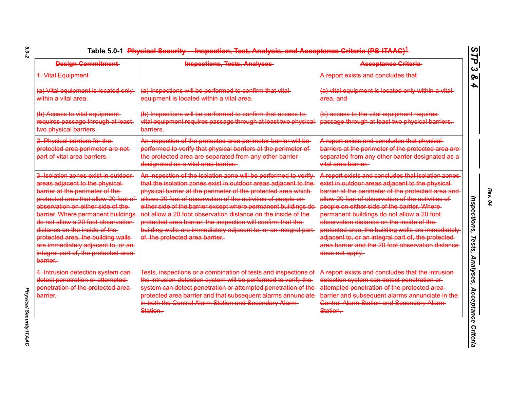| <b>Design Commitment</b>                                                                                                                                                                                                                                                                                                                                                                                                                  | <b>Inspections, Tests, Analyses</b>                                                                                                                                                                                                                                                                                                                                                                                                                                                                                                                                             | <b>Acceptance Criteria</b>                                                                                                                                                                                                                                                                                                                                                                                                                                                                                                                        |
|-------------------------------------------------------------------------------------------------------------------------------------------------------------------------------------------------------------------------------------------------------------------------------------------------------------------------------------------------------------------------------------------------------------------------------------------|---------------------------------------------------------------------------------------------------------------------------------------------------------------------------------------------------------------------------------------------------------------------------------------------------------------------------------------------------------------------------------------------------------------------------------------------------------------------------------------------------------------------------------------------------------------------------------|---------------------------------------------------------------------------------------------------------------------------------------------------------------------------------------------------------------------------------------------------------------------------------------------------------------------------------------------------------------------------------------------------------------------------------------------------------------------------------------------------------------------------------------------------|
| 1. Vital Equipment                                                                                                                                                                                                                                                                                                                                                                                                                        |                                                                                                                                                                                                                                                                                                                                                                                                                                                                                                                                                                                 | A report exists and concludes that                                                                                                                                                                                                                                                                                                                                                                                                                                                                                                                |
| (a) Vital equipment is located only<br>within a vital area.                                                                                                                                                                                                                                                                                                                                                                               | (a) Inspections will be performed to confirm that vital-<br>equipment is located within a vital area.                                                                                                                                                                                                                                                                                                                                                                                                                                                                           | (a) vital equipment is located only within a vital-<br>area, and                                                                                                                                                                                                                                                                                                                                                                                                                                                                                  |
| (b) Access to vital equipment-<br>requires passage through at least<br>two physical barriers.                                                                                                                                                                                                                                                                                                                                             | (b) Inspections will be performed to confirm that access to<br>vital equipment requires passage through at least two physical<br>barriers.                                                                                                                                                                                                                                                                                                                                                                                                                                      | (b) access to the vital equipment requires-<br>passage through at least two physical barriers.                                                                                                                                                                                                                                                                                                                                                                                                                                                    |
| 2. Physical barriers for the<br>protected area perimeter are not-<br>part of vital area barriers.                                                                                                                                                                                                                                                                                                                                         | An inspection of the protected area perimeter barrier will be-<br>performed to verify that physical barriers at the perimeter of<br>the protected area are separated from any other barrier-<br>designated as a vital area barrier.                                                                                                                                                                                                                                                                                                                                             | A report exists and concludes that physical-<br>barriers at the perimeter of the protected area are<br>separated from any other barrier designated as a<br>vital area barrier.                                                                                                                                                                                                                                                                                                                                                                    |
| 3. Isolation zones exist in outdoor-<br>areas adjacent to the physical-<br>barrier at the perimeter of the-<br>protected area that allow 20 feet of<br>observation on either side of the<br>barrier. Where permanent buildings<br>do not allow a 20 foot observation-<br>distance on the inside of the<br>protected area, the building walls-<br>are immediately adjacent to, or an-<br>integral part of, the protected area-<br>barrier. | An inspection of the isolation zone will be performed to verify-<br>that the isolation zones exist in outdoor areas adjacent to the<br>physical barrier at the perimeter of the protected area which<br>allows 20 feet of observation of the activities of people on<br>either side of the barrier except where permanent buildings do<br>not allow a 20 foot observation distance on the inside of the-<br>protected area barrier, the inspection will confirm that the-<br>building walls are immediately adjacent to, or an integral part<br>of, the protected area barrier. | A report exists and concludes that isolation zones<br>exist in outdoor areas adjacent to the physical-<br>barrier at the perimeter of the protected area and<br>allow 20 feet of observation of the activities of<br>people on either side of the barrier. Where-<br>permanent buildings do not allow a 20 foot-<br>observation distance on the inside of the<br>protected area, the building walls are immediately<br>adjacent to, or an integral part of, the protected<br>area barrier and the 20 foot observation distance<br>does not apply. |
| 4. Intrusion detection system can<br>detect penetration or attempted-<br>penetration of the protected area-<br>barrier.                                                                                                                                                                                                                                                                                                                   | Tests, inspections or a combination of tests and inspections of<br>the intrusion detection system will be performed to verify the<br>system can detect penetration or attempted penetration of the<br>protected area barrier and that subsequent alarms annunciate<br>in both the Central Alarm Station and Secondary Alarm-<br>Station.                                                                                                                                                                                                                                        | A report exists and concludes that the intrusion-<br>detection system can detect penetration or<br>attempted penetration of the protected area-<br>barrier and subsequent alarms annunciate in the<br><b>Central Alarm Station and Secondary Alarm-</b><br>Station.                                                                                                                                                                                                                                                                               |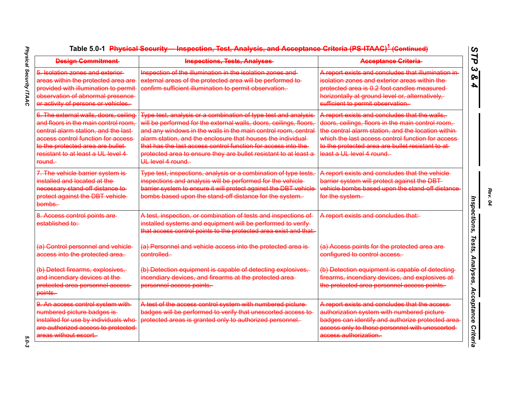| <b>Design Commitment</b>                                                                                                                                                                                                                                   | <b>Inspections, Tests, Analyses</b>                                                                                                                                                                                                                                                                                                                                                                                              | <b>Acceptance Criteria</b>                                                                                                                                                                                                                                                                     |
|------------------------------------------------------------------------------------------------------------------------------------------------------------------------------------------------------------------------------------------------------------|----------------------------------------------------------------------------------------------------------------------------------------------------------------------------------------------------------------------------------------------------------------------------------------------------------------------------------------------------------------------------------------------------------------------------------|------------------------------------------------------------------------------------------------------------------------------------------------------------------------------------------------------------------------------------------------------------------------------------------------|
| 5. Isolation zones and exterior<br>areas within the protected area are<br>provided with illumination to permit<br>observation of abnormal presence<br>or activity of persons or vehicles.                                                                  | Inspection of the illumination in the isolation zones and<br>external areas of the protected area will be performed to-<br>confirm sufficient illumination to permit observation.                                                                                                                                                                                                                                                | A report exists and concludes that illumination in-<br><del>isolation zones and exterior areas within the</del><br>protected area is 0.2 foot candles measured<br>horizontally at ground level or, alternatively,<br>sufficient to permit observation.                                         |
| 6. The external walls, doors, ceiling<br>and floors in the main control room,<br>central alarm station, and the last<br>access control function for access<br>to the protected area are bullet-<br>resistant to at least a UL level 4<br><del>round.</del> | Type test, analysis or a combination of type test and analysis<br>will be performed for the external walls, doors, ceilings, floors,<br>and any windows in the walls in the main control room, central<br>alarm station, and the enclosure that houses the individual-<br>that has the last access control function for access into the<br>protected area to ensure they are bullet resistant to at least a<br>UL level 4 round. | A report exists and concludes that the walls,<br>doors, ceilings, floors in the main control room,<br>the central alarm station, and the location within<br>which the last access control function for access<br>to the protected area are bullet resistant to at<br>least a UL level 4 round. |
| 7. The vehicle barrier system is-<br>installed and located at the<br>necessary stand off distance to<br>protect against the DBT vehicle-<br><del>bombs.</del>                                                                                              | Type test, inspections, analysis or a combination of type tests,<br>inspections and analysis will be performed for the vehicle<br>barrier system to ensure it will protect against the DBT vehicle<br>bombs based upon the stand off distance for the system.                                                                                                                                                                    | A report exists and concludes that the vehicle<br>barrier system will protect against the DBT-<br>vehicle bombs based upon the stand off distance<br><del>for the system.</del>                                                                                                                |
| 8. Access control points are-<br>established to:                                                                                                                                                                                                           | A test, inspection, or combination of tests and inspections of<br>installed systems and equipment will be performed to verify-<br>that access control points to the protected area exist and that:                                                                                                                                                                                                                               | A report exists and concludes that:                                                                                                                                                                                                                                                            |
| (a) Control personnel and vehicle<br>access into the protected area.                                                                                                                                                                                       | (a) Personnel and vehicle access into the protected area is<br><del>controlled.-</del>                                                                                                                                                                                                                                                                                                                                           | (a) Access points for the protected area are-<br>configured to control access.                                                                                                                                                                                                                 |
| (b) Detect firearms, explosives,<br>and incendiary devices at the<br>protected area personnel access<br><del>points.</del>                                                                                                                                 | (b) Detection equipment is capable of detecting explosives,<br>incendiary devices, and firearms at the protected area-<br>personnel access points.                                                                                                                                                                                                                                                                               | (b) Detection equipment is capable of detecting<br>firearms, incendiary devices, and explosives at<br>the protected area personnel access points.                                                                                                                                              |
| 9. An access control system with<br>numbered picture badges is<br>installed for use by individuals who<br>are authorized access to protected<br>areas without escort.                                                                                      | A test of the access control system with numbered picture-<br>badges will be performed to verify that unescorted access to<br>protected areas is granted only to authorized personnel.                                                                                                                                                                                                                                           | A report exists and concludes that the access<br>authorization system with numbered picture<br>badges can identify and authorize protected area<br>access only to those personnel with unescorted<br><del>access authorization.</del>                                                          |

 $5.0 - 3$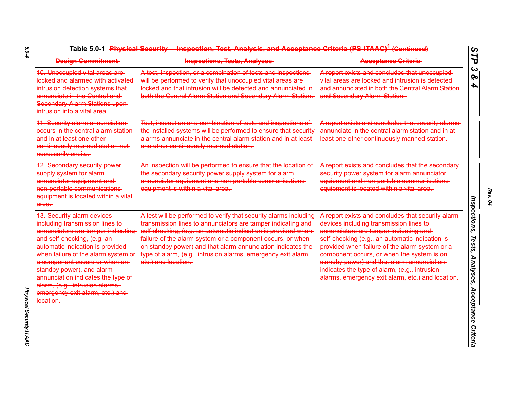| <b>Design Commitment</b>                                                                                                                                                                                                                                                                                                                                                                                        | <b>Inspections, Tests, Analyses</b>                                                                                                                                                                                                                                                                                                                                                                                     | <b>Acceptance Criteria</b>                                                                                                                                                                                                                                                                                                                                                                                                                         |
|-----------------------------------------------------------------------------------------------------------------------------------------------------------------------------------------------------------------------------------------------------------------------------------------------------------------------------------------------------------------------------------------------------------------|-------------------------------------------------------------------------------------------------------------------------------------------------------------------------------------------------------------------------------------------------------------------------------------------------------------------------------------------------------------------------------------------------------------------------|----------------------------------------------------------------------------------------------------------------------------------------------------------------------------------------------------------------------------------------------------------------------------------------------------------------------------------------------------------------------------------------------------------------------------------------------------|
| <b>10. Unoccupied vital areas are</b><br>locked and alarmed with activated<br>intrusion detection systems that-<br>annunciate in the Central and<br><b>Secondary Alarm Stations upon-</b><br>intrusion into a vital area.                                                                                                                                                                                       | A test, inspection, or a combination of tests and inspections<br>will be performed to verify that unoccupied vital areas are-<br>locked and that intrusion will be detected and annunciated in-<br>both the Central Alarm Station and Secondary Alarm Station.                                                                                                                                                          | A report exists and concludes that unoccupied<br>vital areas are locked and intrusion is detected<br>and annunciated in both the Central Alarm Station<br>and Secondary Alarm Station.                                                                                                                                                                                                                                                             |
| 11. Security alarm annunciation<br>occurs in the central alarm station<br>and in at least one other-<br>continuously manned station not-<br>necessarily onsite.                                                                                                                                                                                                                                                 | Test, inspection or a combination of tests and inspections of<br>the installed systems will be performed to ensure that security<br>alarms annunciate in the central alarm station and in at least<br>one other continuously manned station.                                                                                                                                                                            | A report exists and concludes that security alarms<br>annunciate in the central alarm station and in at-<br>least one other continuously manned station.                                                                                                                                                                                                                                                                                           |
| <b>12. Secondary security power-</b><br>supply system for alarm-<br>annunciator equipment and<br>non portable communications<br>equipment is located within a vital<br>area.                                                                                                                                                                                                                                    | An inspection will be performed to ensure that the location of<br>the secondary security power supply system for alarm-<br>annunciator equipment and non-portable communications-<br>equipment is within a vital area.                                                                                                                                                                                                  | A report exists and concludes that the secondary<br>security power system for alarm annunciator-<br>equipment and non-portable communications<br>equipment is located within a vital area.                                                                                                                                                                                                                                                         |
| <b>13. Security alarm devices</b><br>including transmission lines to-<br>annunciators are tamper indicating<br>and self-checking, (e.g. an-<br>automatic indication is provided<br>when failure of the alarm system or<br>a component occurs or when on-<br>standby power), and alarm-<br>annunciation indicates the type of<br>alarm, (e.g., intrusion alarms,<br>emergency exit alarm, etc.) and<br>location. | A test will be performed to verify that security alarms including<br>transmission lines to annunciators are tamper indicating and<br>self checking, (e.g. an automatic indication is provided when<br>failure of the alarm system or a component occurs, or when<br>on standby power) and that alarm annunciation indicates the<br>type of alarm, (e.g., intrusion alarms, emergency exit alarm,<br>etc.) and location. | A report exists and concludes that security alarm<br>devices including transmission lines to-<br>annunciators are tamper indicating and-<br>self-checking (e.g., an automatic indication is-<br>provided when failure of the alarm system or a<br>component occurs, or when the system is on<br>standby power) and that alarm annunciation-<br>indicates the type of alarm, (e.g., intrusion-<br>alarms, emergency exit alarm, etc.) and location. |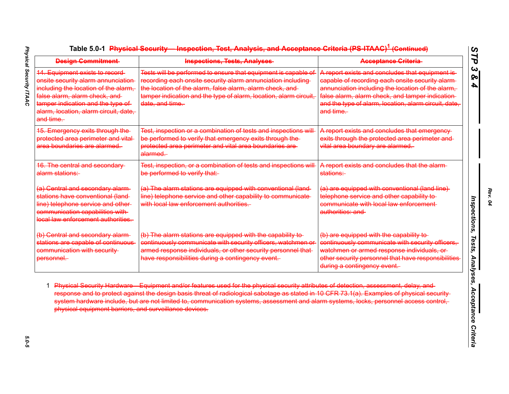| 14. Equipment exists to record-<br>onsite security alarm annunciation<br>including the location of the alarm,<br>false alarm, alarm check, and<br>tamper indication and the type of<br>alarm, location, alarm circuit, date,<br>and time. | Tests will be performed to ensure that equipment is capable of<br>recording each onsite security alarm annunciation including<br>the location of the alarm, false alarm, alarm check, and<br>tamper indication and the type of alarm, location, alarm circuit,<br>date, and time. | A report exists and concludes that equipment is<br>capable of recording each onsite security alarm-<br>annunciation including the location of the alarm,<br>false alarm, alarm check, and tamper indication-                     |
|-------------------------------------------------------------------------------------------------------------------------------------------------------------------------------------------------------------------------------------------|-----------------------------------------------------------------------------------------------------------------------------------------------------------------------------------------------------------------------------------------------------------------------------------|----------------------------------------------------------------------------------------------------------------------------------------------------------------------------------------------------------------------------------|
|                                                                                                                                                                                                                                           |                                                                                                                                                                                                                                                                                   | and the type of alarm, location, alarm circuit, date,<br>and time.                                                                                                                                                               |
| 15. Emergency exits through the-<br>protected area perimeter and vital-<br>area boundaries are alarmed.                                                                                                                                   | Test, inspection or a combination of tests and inspections will<br>be performed to verify that emergency exits through the-<br>protected area perimeter and vital area boundaries are-<br>alarmed.                                                                                | A report exists and concludes that emergency-<br>exits through the protected area perimeter and-<br>vital area boundary are alarmed.                                                                                             |
| <b>16. The central and secondary-</b><br>alarm stations:                                                                                                                                                                                  | Test, inspection, or a combination of tests and inspections will<br>be performed to verify that:                                                                                                                                                                                  | A report exists and concludes that the alarm-<br>stations:                                                                                                                                                                       |
| (a) Central and secondary alarm-<br>stations have conventional (land-<br>line) telephone service and other<br>communication capabilities with-<br>local law enforcement authorities.                                                      | (a) The alarm stations are equipped with conventional (land<br>line) telephone service and other capability to communicate<br>with local law enforcement authorities.                                                                                                             | (a) are equipped with conventional (land line)<br>telephone service and other capability to<br>communicate with local law enforcement-<br>authorities: and                                                                       |
| (b) Central and secondary alarm-<br>stations are capable of continuous<br>communication with security-<br>personnel.                                                                                                                      | (b) The alarm stations are equipped with the capability to-<br>continuously communicate with security officers, watchmen or<br>armed response individuals, or other security personnel that-<br>have responsibilities during a contingency event.                                 | (b) are equipped with the capability to-<br>continuously communicate with security officers,<br>watchmen or armed response individuals, or<br>other security personnel that have responsibilities<br>during a contingency event. |

*Rev. 04*

 $5.0 - 5$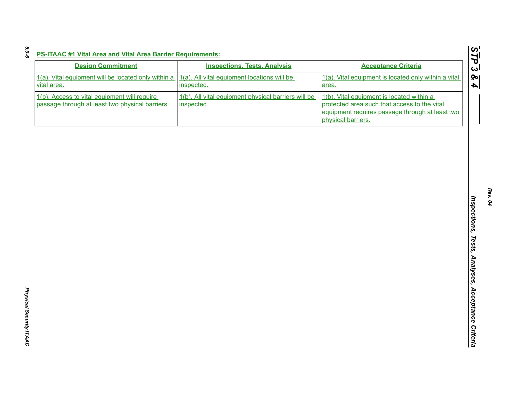| <b>Design Commitment</b>                                                                        | <b>Inspections, Tests, Analysis</b>                               | <b>Acceptance Criteria</b>                                                                                                                                         |
|-------------------------------------------------------------------------------------------------|-------------------------------------------------------------------|--------------------------------------------------------------------------------------------------------------------------------------------------------------------|
| 1(a). Vital equipment will be located only within a<br>vital area.                              | 1(a). All vital equipment locations will be<br>inspected.         | 1(a). Vital equipment is located only within a vital<br>area.                                                                                                      |
| 1(b). Access to vital equipment will require<br>passage through at least two physical barriers. | 1(b). All vital equipment physical barriers will be<br>inspected. | 1(b). Vital equipment is located within a<br>protected area such that access to the vital<br>equipment requires passage through at least two<br>physical barriers. |
|                                                                                                 |                                                                   |                                                                                                                                                                    |
|                                                                                                 |                                                                   |                                                                                                                                                                    |
|                                                                                                 |                                                                   |                                                                                                                                                                    |
|                                                                                                 |                                                                   |                                                                                                                                                                    |
|                                                                                                 |                                                                   |                                                                                                                                                                    |
|                                                                                                 |                                                                   |                                                                                                                                                                    |
|                                                                                                 |                                                                   |                                                                                                                                                                    |
|                                                                                                 |                                                                   |                                                                                                                                                                    |
|                                                                                                 |                                                                   |                                                                                                                                                                    |
|                                                                                                 |                                                                   |                                                                                                                                                                    |

*5.0-6*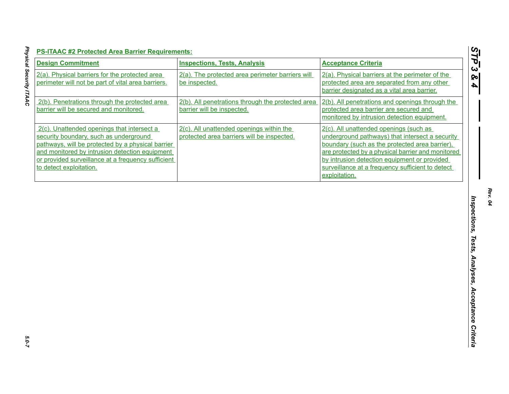| <b>Design Commitment</b>                                                                                                                                                                                                                                                     | <b>Inspections, Tests, Analysis</b>                                                    | <b>Acceptance Criteria</b>                                                                                                                                                                                                                                                                                            |
|------------------------------------------------------------------------------------------------------------------------------------------------------------------------------------------------------------------------------------------------------------------------------|----------------------------------------------------------------------------------------|-----------------------------------------------------------------------------------------------------------------------------------------------------------------------------------------------------------------------------------------------------------------------------------------------------------------------|
| 2(a). Physical barriers for the protected area<br>perimeter will not be part of vital area barriers.                                                                                                                                                                         | 2(a). The protected area perimeter barriers will<br>be inspected.                      | 2(a). Physical barriers at the perimeter of the<br>protected area are separated from any other<br>barrier designated as a vital area barrier.                                                                                                                                                                         |
| 2(b). Penetrations through the protected area<br>barrier will be secured and monitored.                                                                                                                                                                                      | 2(b). All penetrations through the protected area<br>barrier will be inspected.        | 2(b). All penetrations and openings through the<br>protected area barrier are secured and<br>monitored by intrusion detection equipment.                                                                                                                                                                              |
| 2(c). Unattended openings that intersect a<br>security boundary, such as underground<br>pathways, will be protected by a physical barrier<br>and monitored by intrusion detection equipment<br>or provided surveillance at a frequency sufficient<br>to detect exploitation. | 2(c). All unattended openings within the<br>protected area barriers will be inspected. | 2(c). All unattended openings (such as<br>underground pathways) that intersect a security<br>boundary (such as the protected area barrier),<br>are protected by a physical barrier and monitored<br>by intrusion detection equipment or provided<br>surveillance at a frequency sufficient to detect<br>exploitation. |
|                                                                                                                                                                                                                                                                              |                                                                                        |                                                                                                                                                                                                                                                                                                                       |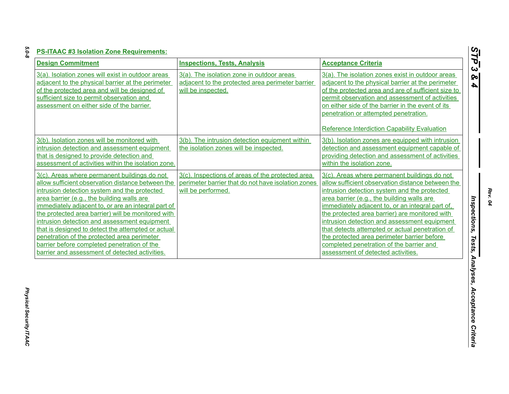| I<br>×<br>× |
|-------------|
| ×<br>I      |
|             |
|             |

| 3(a). The isolation zone in outdoor areas<br>3(a). Isolation zones will exist in outdoor areas<br>3(a). The isolation zones exist in outdoor areas<br>adjacent to the physical barrier at the perimeter<br>adjacent to the physical barrier at the perimeter<br>adjacent to the protected area perimeter barrier<br>of the protected area and will be designed of<br>of the protected area and are of sufficient size to<br>will be inspected.<br>sufficient size to permit observation and<br>permit observation and assessment of activities<br>assessment on either side of the barrier.<br>on either side of the barrier in the event of its<br>penetration or attempted penetration.<br><b>Reference Interdiction Capability Evaluation</b><br>3(b). Isolation zones will be monitored with<br>3(b). The intrusion detection equipment within<br>3(b). Isolation zones are equipped with intrusion<br>intrusion detection and assessment equipment<br>the isolation zones will be inspected.<br>detection and assessment equipment capable of<br>that is designed to provide detection and<br>providing detection and assessment of activities<br>assessment of activities within the isolation zone.<br>within the isolation zone.<br>3(c). Inspections of areas of the protected area<br>3(c). Areas where permanent buildings do not<br>3(c). Areas where permanent buildings do not<br>allow sufficient observation distance between the<br>perimeter barrier that do not have isolation zones<br>allow sufficient observation distance between the<br>intrusion detection system and the protected<br>will be performed.<br>intrusion detection system and the protected<br>area barrier (e.g., the building walls are<br>area barrier (e.g., the building walls are<br>immediately adjacent to, or are an integral part of<br>immediately adjacent to, or an integral part of,<br>the protected area barrier) will be monitored with<br>the protected area barrier) are monitored with<br>intrusion detection and assessment equipment<br>intrusion detection and assessment equipment<br>that is designed to detect the attempted or actual<br>that detects attempted or actual penetration of<br>penetration of the protected area perimeter<br>the protected area perimeter barrier before | <b>Design Commitment</b>                    | <b>Inspections, Tests, Analysis</b> | <b>Acceptance Criteria</b>               |
|----------------------------------------------------------------------------------------------------------------------------------------------------------------------------------------------------------------------------------------------------------------------------------------------------------------------------------------------------------------------------------------------------------------------------------------------------------------------------------------------------------------------------------------------------------------------------------------------------------------------------------------------------------------------------------------------------------------------------------------------------------------------------------------------------------------------------------------------------------------------------------------------------------------------------------------------------------------------------------------------------------------------------------------------------------------------------------------------------------------------------------------------------------------------------------------------------------------------------------------------------------------------------------------------------------------------------------------------------------------------------------------------------------------------------------------------------------------------------------------------------------------------------------------------------------------------------------------------------------------------------------------------------------------------------------------------------------------------------------------------------------------------------------------------------------------------------------------------------------------------------------------------------------------------------------------------------------------------------------------------------------------------------------------------------------------------------------------------------------------------------------------------------------------------------------------------------------------------------------------------------------------------------------------------------------|---------------------------------------------|-------------------------------------|------------------------------------------|
|                                                                                                                                                                                                                                                                                                                                                                                                                                                                                                                                                                                                                                                                                                                                                                                                                                                                                                                                                                                                                                                                                                                                                                                                                                                                                                                                                                                                                                                                                                                                                                                                                                                                                                                                                                                                                                                                                                                                                                                                                                                                                                                                                                                                                                                                                                          |                                             |                                     |                                          |
|                                                                                                                                                                                                                                                                                                                                                                                                                                                                                                                                                                                                                                                                                                                                                                                                                                                                                                                                                                                                                                                                                                                                                                                                                                                                                                                                                                                                                                                                                                                                                                                                                                                                                                                                                                                                                                                                                                                                                                                                                                                                                                                                                                                                                                                                                                          |                                             |                                     |                                          |
| barrier and assessment of detected activities.<br>assessment of detected activities.                                                                                                                                                                                                                                                                                                                                                                                                                                                                                                                                                                                                                                                                                                                                                                                                                                                                                                                                                                                                                                                                                                                                                                                                                                                                                                                                                                                                                                                                                                                                                                                                                                                                                                                                                                                                                                                                                                                                                                                                                                                                                                                                                                                                                     | barrier before completed penetration of the |                                     | completed penetration of the barrier and |

*Rev. 04*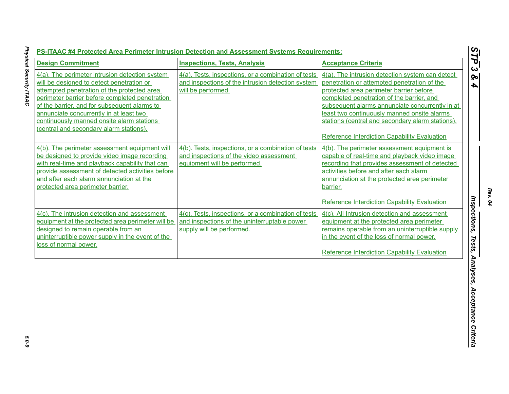| 4(a). The perimeter intrusion detection system<br>will be designed to detect penetration or<br>attempted penetration of the protected area<br>perimeter barrier before completed penetration<br>of the barrier, and for subsequent alarms to<br>annunciate concurrently in at least two<br>continuously manned onsite alarm stations | 4(a). Tests, inspections, or a combination of tests<br>and inspections of the intrusion detection system<br>will be performed.   | 4(a). The intrusion detection system can detect<br>penetration or attempted penetration of the<br>protected area perimeter barrier before<br>completed penetration of the barrier, and<br>subsequent alarms annunciate concurrently in at                                                            |
|--------------------------------------------------------------------------------------------------------------------------------------------------------------------------------------------------------------------------------------------------------------------------------------------------------------------------------------|----------------------------------------------------------------------------------------------------------------------------------|------------------------------------------------------------------------------------------------------------------------------------------------------------------------------------------------------------------------------------------------------------------------------------------------------|
| (central and secondary alarm stations).                                                                                                                                                                                                                                                                                              |                                                                                                                                  | least two continuously manned onsite alarms<br>stations (central and secondary alarm stations).<br>Reference Interdiction Capability Evaluation                                                                                                                                                      |
| 4(b). The perimeter assessment equipment will<br>be designed to provide video image recording<br>with real-time and playback capability that can<br>provide assessment of detected activities before<br>and after each alarm annunciation at the<br>protected area perimeter barrier.                                                | 4(b). Tests, inspections, or a combination of tests<br>and inspections of the video assessment<br>equipment will be performed.   | 4(b). The perimeter assessment equipment is<br>capable of real-time and playback video image<br>recording that provides assessment of detected<br>activities before and after each alarm<br>annunciation at the protected area perimeter<br>barrier.<br>Reference Interdiction Capability Evaluation |
| 4(c). The intrusion detection and assessment<br>equipment at the protected area perimeter will be<br>designed to remain operable from an<br>uninterruptible power supply in the event of the<br>loss of normal power.                                                                                                                | 4(c). Tests, inspections, or a combination of tests<br>and inspections of the uninterruptable power<br>supply will be performed. | 4(c). All Intrusion detection and assessment<br>equipment at the protected area perimeter<br>remains operable from an uninterruptible supply<br>in the event of the loss of normal power.<br>Reference Interdiction Capability Evaluation                                                            |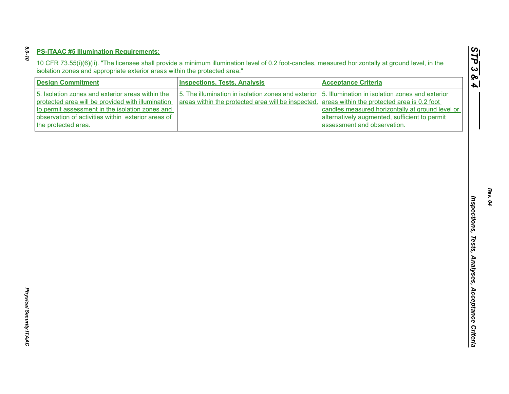| 5. Isolation zones and exterior areas within the<br>5. The illumination in isolation zones and exterior<br>5. Illumination in isolation zones and exterior<br>areas within the protected area will be inspected.<br>areas within the protected area is 0.2 foot<br>protected area will be provided with illumination<br>to permit assessment in the isolation zones and<br>observation of activities within exterior areas of<br>alternatively augmented, sufficient to permit<br>the protected area.<br>assessment and observation. | <b>Design Commitment</b> | <b>Inspections, Tests, Analysis</b> | <b>Acceptance Criteria</b>                       |
|--------------------------------------------------------------------------------------------------------------------------------------------------------------------------------------------------------------------------------------------------------------------------------------------------------------------------------------------------------------------------------------------------------------------------------------------------------------------------------------------------------------------------------------|--------------------------|-------------------------------------|--------------------------------------------------|
|                                                                                                                                                                                                                                                                                                                                                                                                                                                                                                                                      |                          |                                     | candles measured horizontally at ground level or |
|                                                                                                                                                                                                                                                                                                                                                                                                                                                                                                                                      |                          |                                     |                                                  |
|                                                                                                                                                                                                                                                                                                                                                                                                                                                                                                                                      |                          |                                     |                                                  |
|                                                                                                                                                                                                                                                                                                                                                                                                                                                                                                                                      |                          |                                     |                                                  |
|                                                                                                                                                                                                                                                                                                                                                                                                                                                                                                                                      |                          |                                     |                                                  |
|                                                                                                                                                                                                                                                                                                                                                                                                                                                                                                                                      |                          |                                     |                                                  |
|                                                                                                                                                                                                                                                                                                                                                                                                                                                                                                                                      |                          |                                     |                                                  |
|                                                                                                                                                                                                                                                                                                                                                                                                                                                                                                                                      |                          |                                     |                                                  |
|                                                                                                                                                                                                                                                                                                                                                                                                                                                                                                                                      |                          |                                     |                                                  |
|                                                                                                                                                                                                                                                                                                                                                                                                                                                                                                                                      |                          |                                     |                                                  |
|                                                                                                                                                                                                                                                                                                                                                                                                                                                                                                                                      |                          |                                     |                                                  |
|                                                                                                                                                                                                                                                                                                                                                                                                                                                                                                                                      |                          |                                     |                                                  |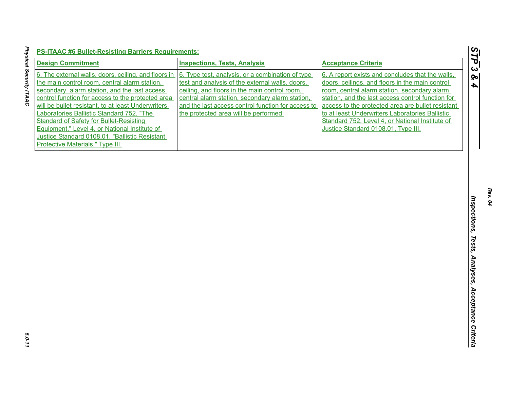| <b>Design Commitment</b>                                                                                                                                                                                                                                                                                                                                                                                                                                                                               | <b>Inspections, Tests, Analysis</b>                                                                                                                                                                                                                                                                    | <b>Acceptance Criteria</b>                                                                                                                                                                                                                                                                                                                                                                                 |
|--------------------------------------------------------------------------------------------------------------------------------------------------------------------------------------------------------------------------------------------------------------------------------------------------------------------------------------------------------------------------------------------------------------------------------------------------------------------------------------------------------|--------------------------------------------------------------------------------------------------------------------------------------------------------------------------------------------------------------------------------------------------------------------------------------------------------|------------------------------------------------------------------------------------------------------------------------------------------------------------------------------------------------------------------------------------------------------------------------------------------------------------------------------------------------------------------------------------------------------------|
| 6. The external walls, doors, ceiling, and floors in<br>the main control room, central alarm station,<br>secondary alarm station, and the last access<br>control function for access to the protected area<br>will be bullet resistant, to at least Underwriters<br>Laboratories Ballistic Standard 752, "The<br><b>Standard of Safety for Bullet-Resisting</b><br>Equipment," Level 4, or National Institute of<br>Justice Standard 0108.01, "Ballistic Resistant<br>Protective Materials," Type III. | 6. Type test, analysis, or a combination of type<br>test and analysis of the external walls, doors,<br>ceiling, and floors in the main control room,<br>central alarm station, secondary alarm station,<br>and the last access control function for access to<br>the protected area will be performed. | 6. A report exists and concludes that the walls,<br>doors, ceilings, and floors in the main control<br>room, central alarm station, secondary alarm<br>station, and the last access control function for<br>access to the protected area are bullet resistant<br>to at least Underwriters Laboratories Ballistic<br>Standard 752, Level 4, or National Institute of<br>Justice Standard 0108.01, Type III. |
|                                                                                                                                                                                                                                                                                                                                                                                                                                                                                                        |                                                                                                                                                                                                                                                                                                        |                                                                                                                                                                                                                                                                                                                                                                                                            |
|                                                                                                                                                                                                                                                                                                                                                                                                                                                                                                        |                                                                                                                                                                                                                                                                                                        |                                                                                                                                                                                                                                                                                                                                                                                                            |
|                                                                                                                                                                                                                                                                                                                                                                                                                                                                                                        |                                                                                                                                                                                                                                                                                                        |                                                                                                                                                                                                                                                                                                                                                                                                            |
|                                                                                                                                                                                                                                                                                                                                                                                                                                                                                                        |                                                                                                                                                                                                                                                                                                        |                                                                                                                                                                                                                                                                                                                                                                                                            |

Physical Security ITAAC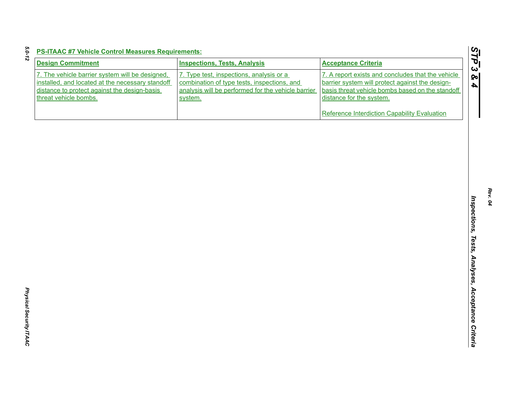| m |  |
|---|--|
|   |  |
|   |  |

| <b>Design Commitment</b>                                                                                                                            | <b>Inspections, Tests, Analysis</b>                                                                                                                      | <b>Acceptance Criteria</b>                                                                                                                                                                                                           |
|-----------------------------------------------------------------------------------------------------------------------------------------------------|----------------------------------------------------------------------------------------------------------------------------------------------------------|--------------------------------------------------------------------------------------------------------------------------------------------------------------------------------------------------------------------------------------|
| 7. The vehicle barrier system will be designed,<br>installed, and located at the necessary standoff<br>distance to protect against the design-basis | 7. Type test, inspections, analysis or a<br>combination of type tests, inspections, and<br>analysis will be performed for the vehicle barrier<br>system. | 7. A report exists and concludes that the vehicle<br>barrier system will protect against the design-<br>basis threat vehicle bombs based on the standoff<br>distance for the system.<br>Reference Interdiction Capability Evaluation |
| threat vehicle bombs.                                                                                                                               |                                                                                                                                                          |                                                                                                                                                                                                                                      |
|                                                                                                                                                     |                                                                                                                                                          |                                                                                                                                                                                                                                      |
|                                                                                                                                                     |                                                                                                                                                          |                                                                                                                                                                                                                                      |
|                                                                                                                                                     |                                                                                                                                                          |                                                                                                                                                                                                                                      |
|                                                                                                                                                     |                                                                                                                                                          |                                                                                                                                                                                                                                      |
|                                                                                                                                                     |                                                                                                                                                          |                                                                                                                                                                                                                                      |
|                                                                                                                                                     |                                                                                                                                                          |                                                                                                                                                                                                                                      |
|                                                                                                                                                     |                                                                                                                                                          |                                                                                                                                                                                                                                      |
|                                                                                                                                                     |                                                                                                                                                          |                                                                                                                                                                                                                                      |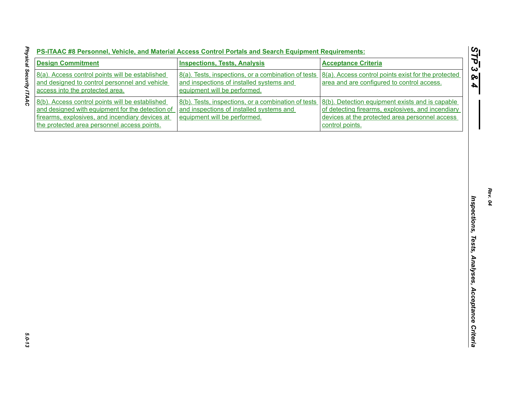| 8(a). Access control points will be established<br>8(a). Tests, inspections, or a combination of tests<br>8(a). Access control points exist for the protected<br>and designed to control personnel and vehicle<br>and inspections of installed systems and<br>area and are configured to control access.<br>access into the protected area.<br>equipment will be performed.<br>8(b). Access control points will be established<br>8(b). Tests, inspections, or a combination of tests<br>8(b). Detection equipment exists and is capable<br>and designed with equipment for the detection of<br>and inspections of installed systems and<br>of detecting firearms, explosives, and incendiary<br>firearms, explosives, and incendiary devices at<br>equipment will be performed.<br>devices at the protected area personnel access<br>the protected area personnel access points.<br>control points. |
|------------------------------------------------------------------------------------------------------------------------------------------------------------------------------------------------------------------------------------------------------------------------------------------------------------------------------------------------------------------------------------------------------------------------------------------------------------------------------------------------------------------------------------------------------------------------------------------------------------------------------------------------------------------------------------------------------------------------------------------------------------------------------------------------------------------------------------------------------------------------------------------------------|
|                                                                                                                                                                                                                                                                                                                                                                                                                                                                                                                                                                                                                                                                                                                                                                                                                                                                                                      |
|                                                                                                                                                                                                                                                                                                                                                                                                                                                                                                                                                                                                                                                                                                                                                                                                                                                                                                      |
|                                                                                                                                                                                                                                                                                                                                                                                                                                                                                                                                                                                                                                                                                                                                                                                                                                                                                                      |
|                                                                                                                                                                                                                                                                                                                                                                                                                                                                                                                                                                                                                                                                                                                                                                                                                                                                                                      |
|                                                                                                                                                                                                                                                                                                                                                                                                                                                                                                                                                                                                                                                                                                                                                                                                                                                                                                      |
|                                                                                                                                                                                                                                                                                                                                                                                                                                                                                                                                                                                                                                                                                                                                                                                                                                                                                                      |
|                                                                                                                                                                                                                                                                                                                                                                                                                                                                                                                                                                                                                                                                                                                                                                                                                                                                                                      |
|                                                                                                                                                                                                                                                                                                                                                                                                                                                                                                                                                                                                                                                                                                                                                                                                                                                                                                      |
|                                                                                                                                                                                                                                                                                                                                                                                                                                                                                                                                                                                                                                                                                                                                                                                                                                                                                                      |
|                                                                                                                                                                                                                                                                                                                                                                                                                                                                                                                                                                                                                                                                                                                                                                                                                                                                                                      |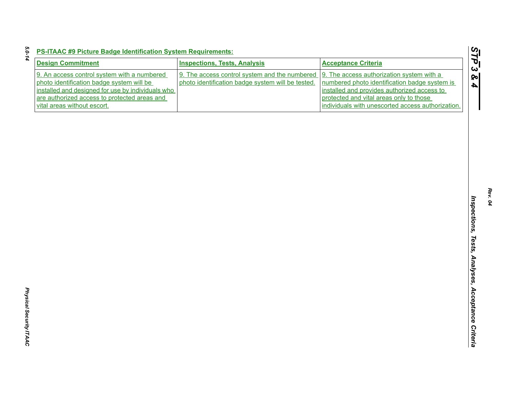| ٠ |  |
|---|--|
|   |  |
|   |  |
|   |  |
|   |  |
|   |  |
|   |  |

| <b>PS-ITAAC #9 Picture Badge Identification System Requirements:</b> |  |  |
|----------------------------------------------------------------------|--|--|
|                                                                      |  |  |

| <b>Design Commitment</b>                          | <b>Inspections, Tests, Analysis</b>               | <b>Acceptance Criteria</b>                        |
|---------------------------------------------------|---------------------------------------------------|---------------------------------------------------|
| 9. An access control system with a numbered       | 9. The access control system and the numbered     | 9. The access authorization system with a         |
| photo identification badge system will be         | photo identification badge system will be tested. | numbered photo identification badge system is     |
| installed and designed for use by individuals who |                                                   | installed and provides authorized access to       |
| are authorized access to protected areas and      |                                                   | protected and vital areas only to those           |
| vital areas without escort.                       |                                                   | individuals with unescorted access authorization. |
|                                                   |                                                   |                                                   |
|                                                   |                                                   |                                                   |
|                                                   |                                                   |                                                   |
|                                                   |                                                   |                                                   |
|                                                   |                                                   |                                                   |
|                                                   |                                                   |                                                   |
|                                                   |                                                   |                                                   |
|                                                   |                                                   |                                                   |
|                                                   |                                                   |                                                   |
|                                                   |                                                   |                                                   |
|                                                   |                                                   |                                                   |
|                                                   |                                                   |                                                   |
|                                                   |                                                   |                                                   |
|                                                   |                                                   |                                                   |
|                                                   |                                                   |                                                   |
|                                                   |                                                   |                                                   |
|                                                   |                                                   |                                                   |
|                                                   |                                                   |                                                   |
|                                                   |                                                   |                                                   |
|                                                   |                                                   |                                                   |
|                                                   |                                                   |                                                   |
|                                                   |                                                   |                                                   |
|                                                   |                                                   |                                                   |
|                                                   |                                                   |                                                   |
|                                                   |                                                   |                                                   |
|                                                   |                                                   |                                                   |
|                                                   |                                                   |                                                   |
|                                                   |                                                   |                                                   |
|                                                   |                                                   |                                                   |
|                                                   |                                                   |                                                   |
|                                                   |                                                   |                                                   |
|                                                   |                                                   |                                                   |
|                                                   |                                                   |                                                   |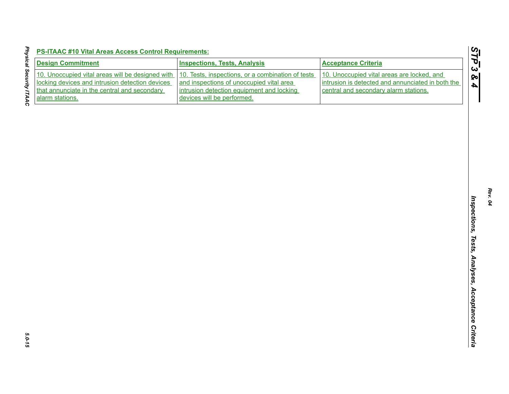| <b>Design Commitment</b>                                                                                                                            | <b>Inspections, Tests, Analysis</b>                                                                                                        | <b>Acceptance Criteria</b>                                                                                                               |
|-----------------------------------------------------------------------------------------------------------------------------------------------------|--------------------------------------------------------------------------------------------------------------------------------------------|------------------------------------------------------------------------------------------------------------------------------------------|
| 10. Unoccupied vital areas will be designed with<br>locking devices and intrusion detection devices<br>that annunciate in the central and secondary | 10. Tests, inspections, or a combination of tests<br>and inspections of unoccupied vital area<br>intrusion detection equipment and locking | 10. Unoccupied vital areas are locked, and<br>intrusion is detected and annunciated in both the<br>central and secondary alarm stations. |
| alarm stations.                                                                                                                                     | devices will be performed.                                                                                                                 |                                                                                                                                          |
|                                                                                                                                                     |                                                                                                                                            |                                                                                                                                          |
|                                                                                                                                                     |                                                                                                                                            |                                                                                                                                          |
|                                                                                                                                                     |                                                                                                                                            |                                                                                                                                          |
|                                                                                                                                                     |                                                                                                                                            |                                                                                                                                          |
|                                                                                                                                                     |                                                                                                                                            |                                                                                                                                          |
|                                                                                                                                                     |                                                                                                                                            |                                                                                                                                          |
|                                                                                                                                                     |                                                                                                                                            |                                                                                                                                          |
|                                                                                                                                                     |                                                                                                                                            |                                                                                                                                          |
|                                                                                                                                                     |                                                                                                                                            |                                                                                                                                          |
|                                                                                                                                                     |                                                                                                                                            |                                                                                                                                          |
|                                                                                                                                                     |                                                                                                                                            |                                                                                                                                          |
|                                                                                                                                                     |                                                                                                                                            |                                                                                                                                          |
|                                                                                                                                                     |                                                                                                                                            |                                                                                                                                          |
|                                                                                                                                                     |                                                                                                                                            |                                                                                                                                          |
|                                                                                                                                                     |                                                                                                                                            |                                                                                                                                          |
|                                                                                                                                                     |                                                                                                                                            |                                                                                                                                          |
|                                                                                                                                                     |                                                                                                                                            |                                                                                                                                          |
|                                                                                                                                                     |                                                                                                                                            |                                                                                                                                          |
|                                                                                                                                                     |                                                                                                                                            |                                                                                                                                          |
|                                                                                                                                                     |                                                                                                                                            |                                                                                                                                          |
|                                                                                                                                                     |                                                                                                                                            |                                                                                                                                          |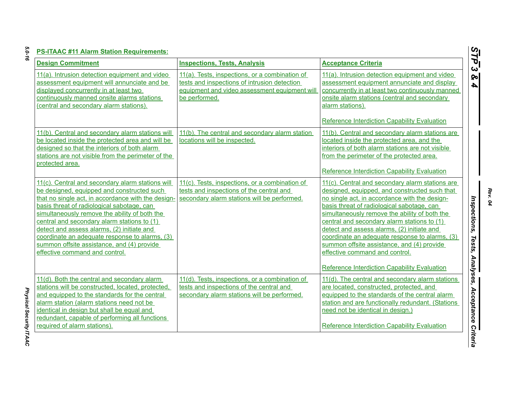*Physical Security ITAAC* 

Physical Security ITAAC

| <b>Capability Evaluation</b>                                                                   |
|------------------------------------------------------------------------------------------------|
| ndary alarm stations are<br>cted area, and the<br>tations are not visible<br>e protected area. |
| <b>Capability Evaluation</b>                                                                   |
| ndary alarm stations are<br>d constructed such that<br>ance with the design-                   |
| cal sabotage, can<br>the ability of both the                                                   |

| <b>Design Commitment</b>                                                                                                                                                                                                                                                                                                                                                                                                                                                           | <b>Inspections, Tests, Analysis</b>                                                                                                                              | <b>Acceptance Criteria</b>                                                                                                                                                                                                                                                                                                                                                                                                                                                                                                             |
|------------------------------------------------------------------------------------------------------------------------------------------------------------------------------------------------------------------------------------------------------------------------------------------------------------------------------------------------------------------------------------------------------------------------------------------------------------------------------------|------------------------------------------------------------------------------------------------------------------------------------------------------------------|----------------------------------------------------------------------------------------------------------------------------------------------------------------------------------------------------------------------------------------------------------------------------------------------------------------------------------------------------------------------------------------------------------------------------------------------------------------------------------------------------------------------------------------|
| 11(a). Intrusion detection equipment and video<br>assessment equipment will annunciate and be<br>displayed concurrently in at least two<br>continuously manned onsite alarms stations<br>(central and secondary alarm stations).                                                                                                                                                                                                                                                   | 11(a). Tests, inspections, or a combination of<br>tests and inspections of intrusion detection<br>equipment and video assessment equipment will<br>be performed. | 11(a). Intrusion detection equipment and video<br>assessment equipment annunciate and display<br>concurrently in at least two continuously manned<br>onsite alarm stations (central and secondary<br>alarm stations).                                                                                                                                                                                                                                                                                                                  |
| 11(b). Central and secondary alarm stations will<br>be located inside the protected area and will be<br>designed so that the interiors of both alarm<br>stations are not visible from the perimeter of the<br>protected area.                                                                                                                                                                                                                                                      | 11(b). The central and secondary alarm station<br>locations will be inspected.                                                                                   | Reference Interdiction Capability Evaluation<br>11(b). Central and secondary alarm stations are<br>located inside the protected area, and the<br>interiors of both alarm stations are not visible<br>from the perimeter of the protected area.<br>Reference Interdiction Capability Evaluation                                                                                                                                                                                                                                         |
| 11(c). Central and secondary alarm stations will<br>be designed, equipped and constructed such<br>that no single act, in accordance with the design-<br>basis threat of radiological sabotage, can<br>simultaneously remove the ability of both the<br>central and secondary alarm stations to (1)<br>detect and assess alarms, (2) initiate and<br>coordinate an adequate response to alarms, (3)<br>summon offsite assistance, and (4) provide<br>effective command and control. | 11(c). Tests, inspections, or a combination of<br>tests and inspections of the central and<br>secondary alarm stations will be performed.                        | 11(c). Central and secondary alarm stations are<br>designed, equipped, and constructed such that<br>no single act, in accordance with the design-<br>basis threat of radiological sabotage, can<br>simultaneously remove the ability of both the<br>central and secondary alarm stations to (1)<br>detect and assess alarms, (2) initiate and<br>coordinate an adequate response to alarms, (3)<br>summon offsite assistance, and (4) provide<br>effective command and control.<br><b>Reference Interdiction Capability Evaluation</b> |
| 11(d). Both the central and secondary alarm<br>stations will be constructed, located, protected,<br>and equipped to the standards for the central<br>alarm station (alarm stations need not be<br>identical in design but shall be equal and<br>redundant, capable of performing all functions<br>required of alarm stations).                                                                                                                                                     | 11(d). Tests, inspections, or a combination of<br>tests and inspections of the central and<br>secondary alarm stations will be performed.                        | 11(d). The central and secondary alarm stations<br>are located, constructed, protected, and<br>equipped to the standards of the central alarm<br>station and are functionally redundant. (Stations<br>need not be identical in design.)<br><b>Reference Interdiction Capability Evaluation</b>                                                                                                                                                                                                                                         |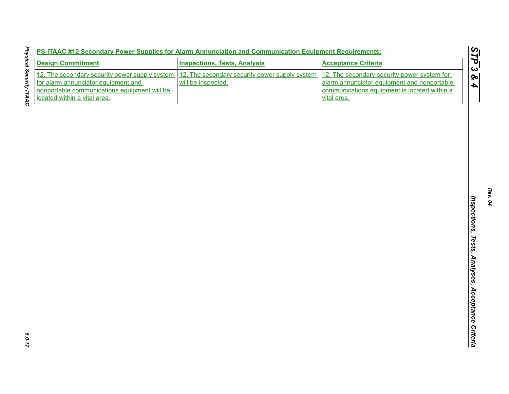| PS-ITAAC #12 Secondary Power Supplies for Alarm Annunciation and Communication Equipment Requirements |  |  |  |
|-------------------------------------------------------------------------------------------------------|--|--|--|
|                                                                                                       |  |  |  |
|                                                                                                       |  |  |  |
|                                                                                                       |  |  |  |

| <b>Design Commitment</b>                                                              | <b>Inspections, Tests, Analysis</b>                                  | <b>Acceptance Criteria</b>                                                                 |
|---------------------------------------------------------------------------------------|----------------------------------------------------------------------|--------------------------------------------------------------------------------------------|
| 12. The secondary security power supply system<br>for alarm annunciator equipment and | 12. The secondary security power supply system<br>will be inspected. | 12. The secondary security power system for<br>alarm annunciator equipment and nonportable |
| nonportable communications equipment will be<br>located within a vital area.          |                                                                      | communications equipment is located within a<br>vital area.                                |
|                                                                                       |                                                                      |                                                                                            |
|                                                                                       |                                                                      |                                                                                            |
|                                                                                       |                                                                      |                                                                                            |
|                                                                                       |                                                                      |                                                                                            |
|                                                                                       |                                                                      |                                                                                            |
|                                                                                       |                                                                      |                                                                                            |
|                                                                                       |                                                                      |                                                                                            |
|                                                                                       |                                                                      |                                                                                            |
|                                                                                       |                                                                      |                                                                                            |
|                                                                                       |                                                                      |                                                                                            |
|                                                                                       |                                                                      |                                                                                            |
|                                                                                       |                                                                      |                                                                                            |
|                                                                                       |                                                                      |                                                                                            |
|                                                                                       |                                                                      |                                                                                            |
|                                                                                       |                                                                      |                                                                                            |
|                                                                                       |                                                                      |                                                                                            |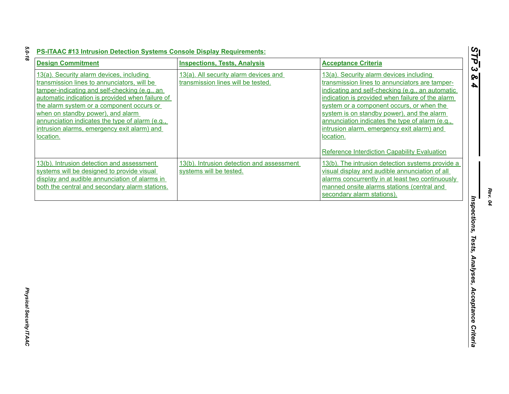| <b>Design Commitment</b>                                                                                                                                                                                                                                                                                                                                                                      | <b>Inspections, Tests, Analysis</b>                                         | <b>Acceptance Criteria</b>                                                                                                                                                                                                                                                                                                                                                                                                                                 |
|-----------------------------------------------------------------------------------------------------------------------------------------------------------------------------------------------------------------------------------------------------------------------------------------------------------------------------------------------------------------------------------------------|-----------------------------------------------------------------------------|------------------------------------------------------------------------------------------------------------------------------------------------------------------------------------------------------------------------------------------------------------------------------------------------------------------------------------------------------------------------------------------------------------------------------------------------------------|
| 13(a). Security alarm devices, including<br>transmission lines to annunciators, will be<br>tamper-indicating and self-checking (e.g., an<br>automatic indication is provided when failure of<br>the alarm system or a component occurs or<br>when on standby power), and alarm<br>annunciation indicates the type of alarm (e.g.,<br>intrusion alarms, emergency exit alarm) and<br>location. | 13(a). All security alarm devices and<br>transmission lines will be tested. | 13(a). Security alarm devices including<br>transmission lines to annunciators are tamper-<br>indicating and self-checking (e.g., an automatic<br>indication is provided when failure of the alarm<br>system or a component occurs, or when the<br>system is on standby power), and the alarm<br>annunciation indicates the type of alarm (e.g.,<br>intrusion alarm, emergency exit alarm) and<br>location.<br>Reference Interdiction Capability Evaluation |
| 13(b). Intrusion detection and assessment<br>systems will be designed to provide visual<br>display and audible annunciation of alarms in<br>both the central and secondary alarm stations.                                                                                                                                                                                                    | 13(b). Intrusion detection and assessment<br>systems will be tested.        | 13(b). The intrusion detection systems provide a<br>visual display and audible annunciation of all<br>alarms concurrently in at least two continuously<br>manned onsite alarms stations (central and<br>secondary alarm stations).                                                                                                                                                                                                                         |
|                                                                                                                                                                                                                                                                                                                                                                                               |                                                                             |                                                                                                                                                                                                                                                                                                                                                                                                                                                            |
|                                                                                                                                                                                                                                                                                                                                                                                               |                                                                             |                                                                                                                                                                                                                                                                                                                                                                                                                                                            |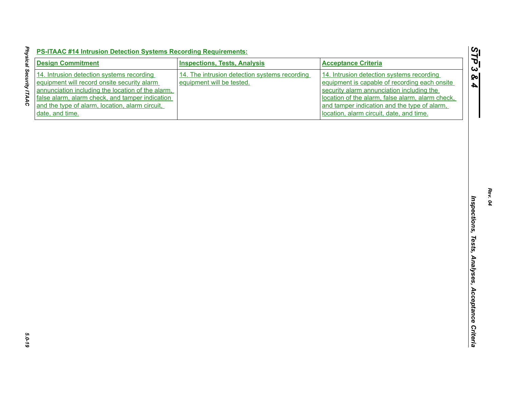| <b>Design Commitment</b>                                                                                                                                                                                                                                               | <b>Inspections, Tests, Analysis</b>                                        | <b>Acceptance Criteria</b>                                                                                                                                                                                                                                                              |
|------------------------------------------------------------------------------------------------------------------------------------------------------------------------------------------------------------------------------------------------------------------------|----------------------------------------------------------------------------|-----------------------------------------------------------------------------------------------------------------------------------------------------------------------------------------------------------------------------------------------------------------------------------------|
| 14. Intrusion detection systems recording<br>equipment will record onsite security alarm<br>annunciation including the location of the alarm,<br>false alarm, alarm check, and tamper indication<br>and the type of alarm, location, alarm circuit,<br>date, and time. | 14. The intrusion detection systems recording<br>equipment will be tested. | 14. Intrusion detection systems recording<br>equipment is capable of recording each onsite<br>security alarm annunciation including the<br>location of the alarm, false alarm, alarm check,<br>and tamper indication and the type of alarm,<br>location, alarm circuit, date, and time. |
|                                                                                                                                                                                                                                                                        |                                                                            |                                                                                                                                                                                                                                                                                         |
|                                                                                                                                                                                                                                                                        |                                                                            |                                                                                                                                                                                                                                                                                         |
|                                                                                                                                                                                                                                                                        |                                                                            |                                                                                                                                                                                                                                                                                         |
|                                                                                                                                                                                                                                                                        |                                                                            |                                                                                                                                                                                                                                                                                         |
|                                                                                                                                                                                                                                                                        |                                                                            |                                                                                                                                                                                                                                                                                         |
|                                                                                                                                                                                                                                                                        |                                                                            |                                                                                                                                                                                                                                                                                         |
|                                                                                                                                                                                                                                                                        |                                                                            |                                                                                                                                                                                                                                                                                         |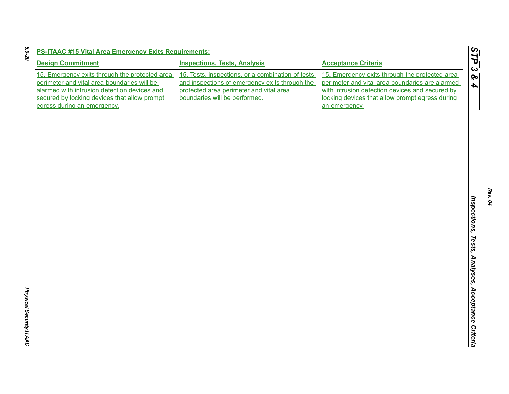| <b>Design Commitment</b>                                                                                                                                                                                                     | <b>Inspections, Tests, Analysis</b>                                                                                                                                             | <b>Acceptance Criteria</b>                                                                                                                                                                                               |
|------------------------------------------------------------------------------------------------------------------------------------------------------------------------------------------------------------------------------|---------------------------------------------------------------------------------------------------------------------------------------------------------------------------------|--------------------------------------------------------------------------------------------------------------------------------------------------------------------------------------------------------------------------|
| 15. Emergency exits through the protected area<br>perimeter and vital area boundaries will be<br>alarmed with intrusion detection devices and<br>secured by locking devices that allow prompt<br>egress during an emergency. | 15. Tests, inspections, or a combination of tests<br>and inspections of emergency exits through the<br>protected area perimeter and vital area<br>boundaries will be performed. | 15. Emergency exits through the protected area<br>perimeter and vital area boundaries are alarmed<br>with intrusion detection devices and secured by<br>locking devices that allow prompt egress during<br>an emergency. |
|                                                                                                                                                                                                                              |                                                                                                                                                                                 |                                                                                                                                                                                                                          |
|                                                                                                                                                                                                                              |                                                                                                                                                                                 |                                                                                                                                                                                                                          |
|                                                                                                                                                                                                                              |                                                                                                                                                                                 |                                                                                                                                                                                                                          |
|                                                                                                                                                                                                                              |                                                                                                                                                                                 |                                                                                                                                                                                                                          |
|                                                                                                                                                                                                                              |                                                                                                                                                                                 |                                                                                                                                                                                                                          |
|                                                                                                                                                                                                                              |                                                                                                                                                                                 |                                                                                                                                                                                                                          |
|                                                                                                                                                                                                                              |                                                                                                                                                                                 |                                                                                                                                                                                                                          |
|                                                                                                                                                                                                                              |                                                                                                                                                                                 |                                                                                                                                                                                                                          |
|                                                                                                                                                                                                                              |                                                                                                                                                                                 |                                                                                                                                                                                                                          |
|                                                                                                                                                                                                                              |                                                                                                                                                                                 |                                                                                                                                                                                                                          |